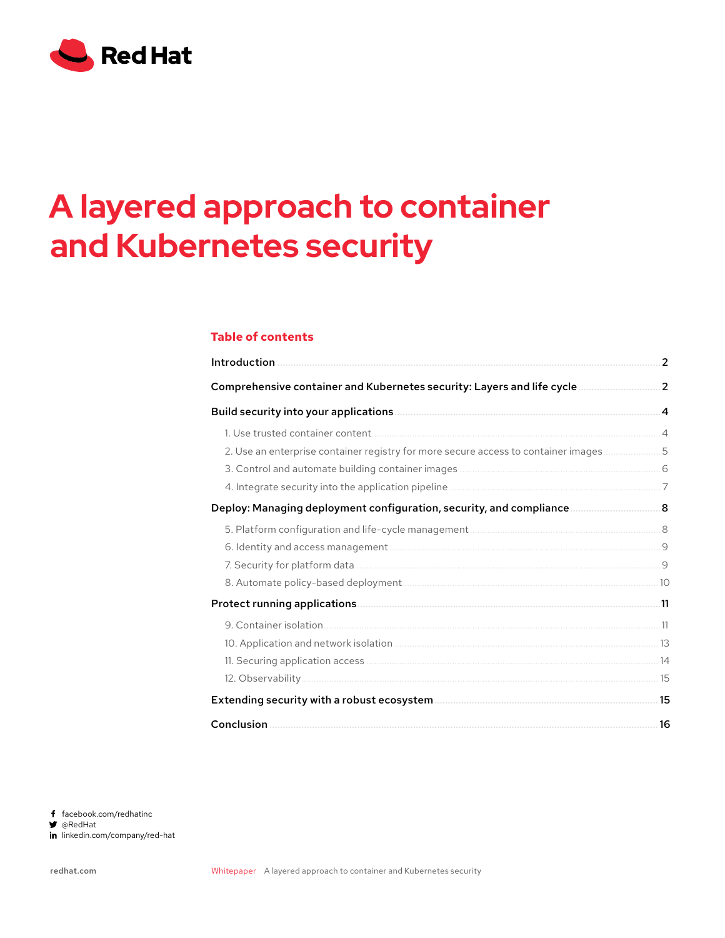

# **A layered approach to container and Kubernetes security**

# **Table of contents**

| Introduction                                                                        | $\mathbf{2}$ |
|-------------------------------------------------------------------------------------|--------------|
| Comprehensive container and Kubernetes security: Layers and life cycle              | $\cdot$ 2    |
|                                                                                     |              |
|                                                                                     |              |
| 2. Use an enterprise container registry for more secure access to container images5 |              |
|                                                                                     |              |
|                                                                                     |              |
| Deploy: Managing deployment configuration, security, and compliance 8               |              |
|                                                                                     |              |
|                                                                                     |              |
|                                                                                     |              |
|                                                                                     |              |
|                                                                                     |              |
|                                                                                     |              |
|                                                                                     |              |
|                                                                                     |              |
|                                                                                     |              |
|                                                                                     |              |
|                                                                                     | .16          |

f facebook.com/redhatinc

@RedHat

in linkedin.com/company/red-hat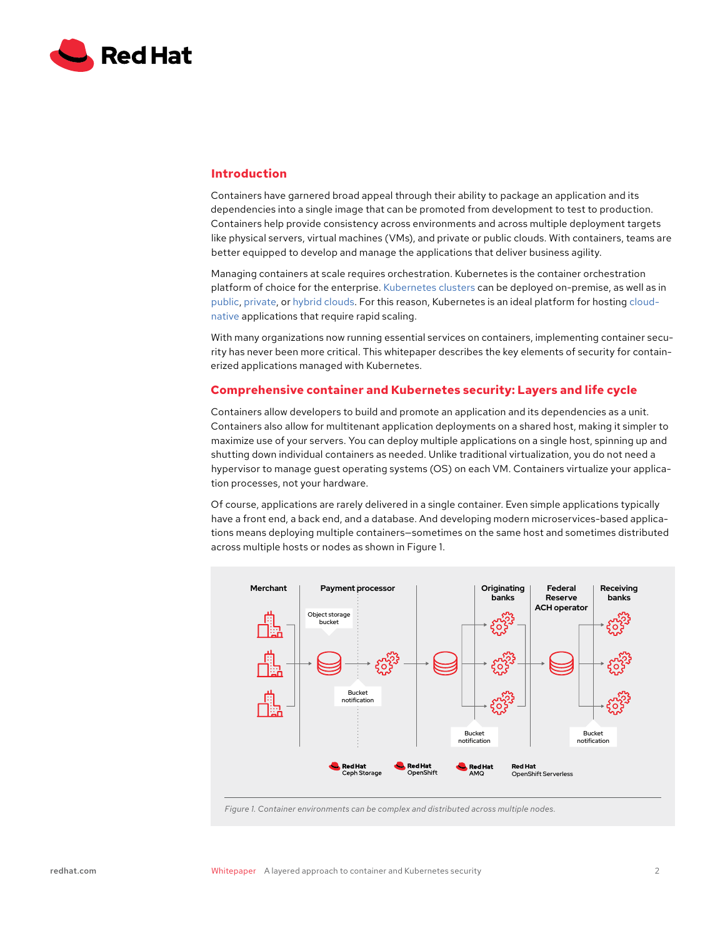<span id="page-1-0"></span>

# **Introduction**

Containers have garnered broad appeal through their ability to package an application and its dependencies into a single image that can be promoted from development to test to production. Containers help provide consistency across environments and across multiple deployment targets like physical servers, virtual machines (VMs), and private or public clouds. With containers, teams are better equipped to develop and manage the applications that deliver business agility.

Managing containers at scale requires orchestration. Kubernetes is the container orchestration platform of choice for the enterprise. [Kubernetes clusters](https://www.redhat.com/en/topics/containers/what-is-a-kubernetes-cluster) can be deployed on-premise, as well as in [public](https://www.redhat.com/en/topics/cloud-computing/what-is-public-cloud), [private](https://www.redhat.com/en/topics/cloud-computing/what-is-private-cloud), or [hybrid clouds](https://www.redhat.com/en/topics/cloud-computing/what-is-hybrid-cloud). For this reason, Kubernetes is an ideal platform for hosting [cloud](https://www.redhat.com/en/topics/cloud-native-apps)[native](https://www.redhat.com/en/topics/cloud-native-apps) applications that require rapid scaling.

With many organizations now running essential services on containers, implementing container security has never been more critical. This whitepaper describes the key elements of security for containerized applications managed with Kubernetes.

# **Comprehensive container and Kubernetes security: Layers and life cycle**

Containers allow developers to build and promote an application and its dependencies as a unit. Containers also allow for multitenant application deployments on a shared host, making it simpler to maximize use of your servers. You can deploy multiple applications on a single host, spinning up and shutting down individual containers as needed. Unlike traditional virtualization, you do not need a hypervisor to manage guest operating systems (OS) on each VM. Containers virtualize your application processes, not your hardware.

Of course, applications are rarely delivered in a single container. Even simple applications typically have a front end, a back end, and a database. And developing modern microservices-based applications means deploying multiple containers—sometimes on the same host and sometimes distributed across multiple hosts or nodes as shown in Figure 1.



*Figure 1. Container environments can be complex and distributed across multiple nodes.*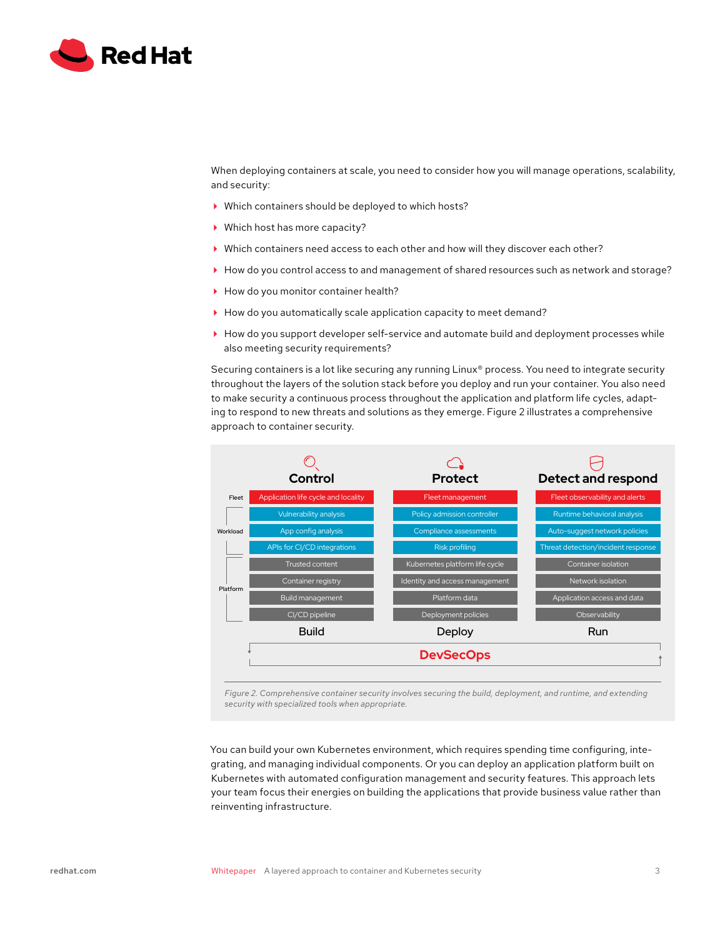

When deploying containers at scale, you need to consider how you will manage operations, scalability, and security:

- Which containers should be deployed to which hosts?
- Which host has more capacity?
- Which containers need access to each other and how will they discover each other?
- How do you control access to and management of shared resources such as network and storage?
- $\blacktriangleright$  How do you monitor container health?
- ▶ How do you automatically scale application capacity to meet demand?
- How do you support developer self-service and automate build and deployment processes while also meeting security requirements?

Securing containers is a lot like securing any running Linux® process. You need to integrate security throughout the layers of the solution stack before you deploy and run your container. You also need to make security a continuous process throughout the application and platform life cycles, adapting to respond to new threats and solutions as they emerge. Figure 2 illustrates a comprehensive approach to container security.



*Figure 2. Comprehensive container security involves securing the build, deployment, and runtime, and extending security with specialized tools when appropriate.*

You can build your own Kubernetes environment, which requires spending time configuring, integrating, and managing individual components. Or you can deploy an application platform built on Kubernetes with automated configuration management and security features. This approach lets your team focus their energies on building the applications that provide business value rather than reinventing infrastructure.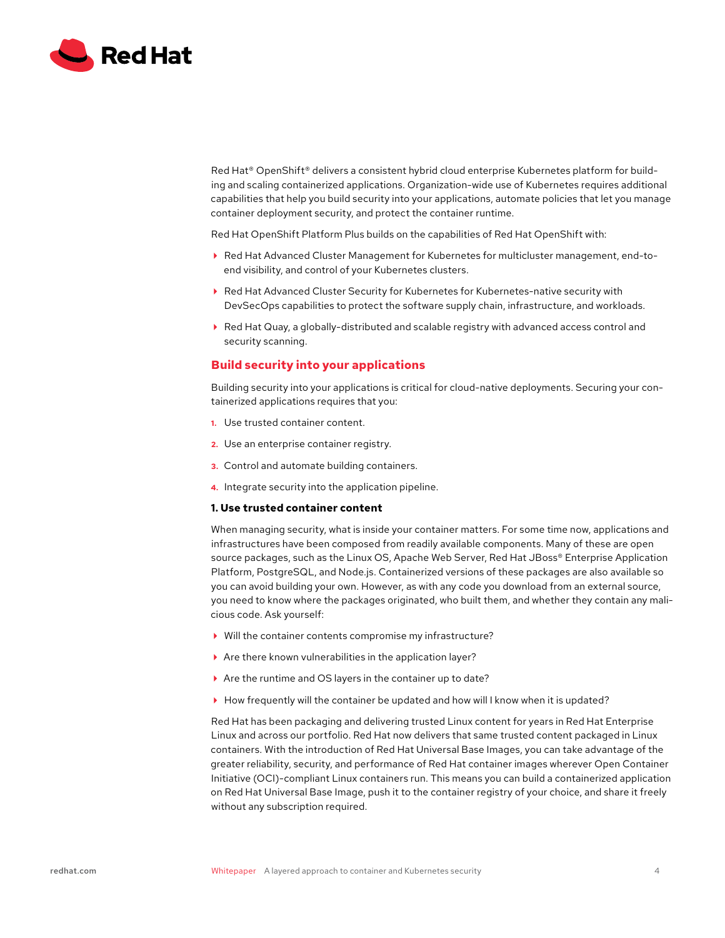<span id="page-3-0"></span>

Red Hat® OpenShift® delivers a consistent hybrid cloud enterprise Kubernetes platform for building and scaling containerized applications. Organization-wide use of Kubernetes requires additional capabilities that help you build security into your applications, automate policies that let you manage container deployment security, and protect the container runtime.

Red Hat OpenShift Platform Plus builds on the capabilities of Red Hat OpenShift with:

- Red Hat Advanced Cluster Management for Kubernetes for multicluster management, end-toend visibility, and control of your Kubernetes clusters.
- Red Hat Advanced Cluster Security for Kubernetes for Kubernetes-native security with DevSecOps capabilities to protect the software supply chain, infrastructure, and workloads.
- Red Hat Quay, a globally-distributed and scalable registry with advanced access control and security scanning.

# **Build security into your applications**

Building security into your applications is critical for cloud-native deployments. Securing your containerized applications requires that you:

- **1.** Use trusted container content.
- **2.** Use an enterprise container registry.
- **3.** Control and automate building containers.
- **4.** Integrate security into the application pipeline.

# **1. Use trusted container content**

When managing security, what is inside your container matters. For some time now, applications and infrastructures have been composed from readily available components. Many of these are open source packages, such as the Linux OS, Apache Web Server, Red Hat JBoss® Enterprise Application Platform, PostgreSQL, and Node.js. Containerized versions of these packages are also available so you can avoid building your own. However, as with any code you download from an external source, you need to know where the packages originated, who built them, and whether they contain any malicious code. Ask yourself:

- Will the container contents compromise my infrastructure?
- Are there known vulnerabilities in the application layer?
- Are the runtime and OS layers in the container up to date?
- $\blacktriangleright$  How frequently will the container be updated and how will I know when it is updated?

Red Hat has been packaging and delivering trusted Linux content for years in Red Hat Enterprise Linux and across our portfolio. Red Hat now delivers that same trusted content packaged in Linux containers. With the introduction of Red Hat Universal Base Images, you can take advantage of the greater reliability, security, and performance of Red Hat container images wherever Open Container Initiative (OCI)-compliant Linux containers run. This means you can build a containerized application on Red Hat Universal Base Image, push it to the container registry of your choice, and share it freely without any subscription required.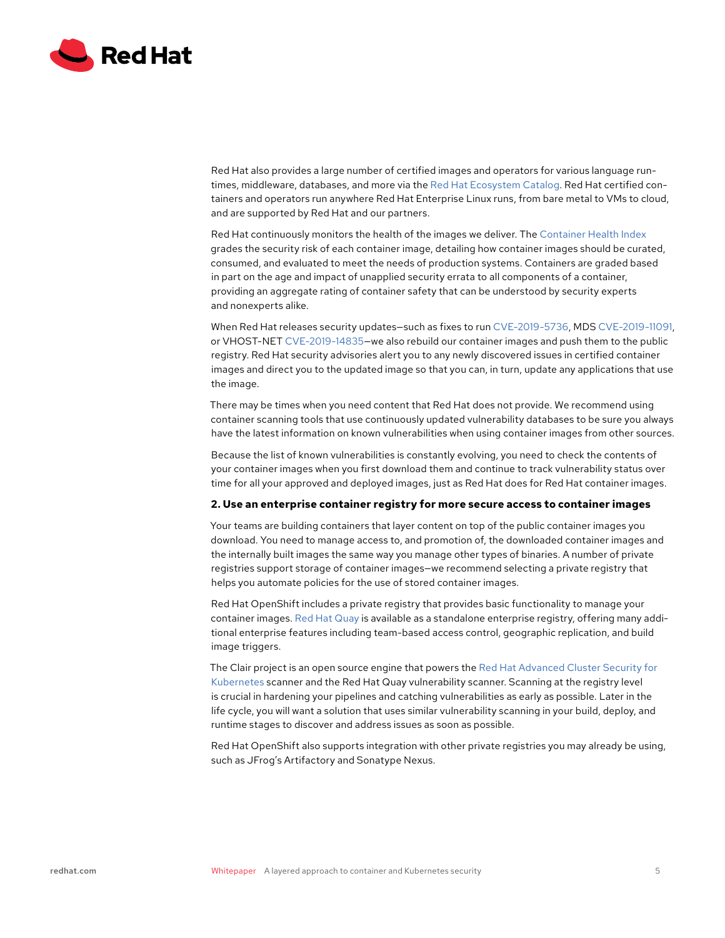<span id="page-4-0"></span>

Red Hat also provides a large number of certified images and operators for various language runtimes, middleware, databases, and more via the [Red Hat Ecosystem Catalog.](https://catalog.redhat.com/) Red Hat certified containers and operators run anywhere Red Hat Enterprise Linux runs, from bare metal to VMs to cloud, and are supported by Red Hat and our partners.

Red Hat continuously monitors the health of the images we deliver. The [Container Health Index](https://access.redhat.com/articles/2803031) grades the security risk of each container image, detailing how container images should be curated, consumed, and evaluated to meet the needs of production systems. Containers are graded based in part on the age and impact of unapplied security errata to all components of a container, providing an aggregate rating of container safety that can be understood by security experts and nonexperts alike.

When Red Hat releases security updates—such as fixes to run [CVE-2019-5736](https://access.redhat.com/security/cve/cve-2019-5736), MDS [CVE-2019-11091,](https://access.redhat.com/security/cve/CVE-2019-11091) or VHOST-NET [CVE-2019-14835—](https://access.redhat.com/security/cve/CVE-2019-14835)we also rebuild our container images and push them to the public registry. Red Hat security advisories alert you to any newly discovered issues in certified container images and direct you to the updated image so that you can, in turn, update any applications that use the image.

There may be times when you need content that Red Hat does not provide. We recommend using container scanning tools that use continuously updated vulnerability databases to be sure you always have the latest information on known vulnerabilities when using container images from other sources.

Because the list of known vulnerabilities is constantly evolving, you need to check the contents of your container images when you first download them and continue to track vulnerability status over time for all your approved and deployed images, just as Red Hat does for Red Hat container images.

# **2. Use an enterprise container registry for more secure access to container images**

Your teams are building containers that layer content on top of the public container images you download. You need to manage access to, and promotion of, the downloaded container images and the internally built images the same way you manage other types of binaries. A number of private registries support storage of container images—we recommend selecting a private registry that helps you automate policies for the use of stored container images.

Red Hat OpenShift includes a private registry that provides basic functionality to manage your container images. [Red Hat Quay](https://www.openshift.com/products/quay) is available as a standalone enterprise registry, offering many additional enterprise features including team-based access control, geographic replication, and build image triggers.

The Clair project is an open source engine that powers the [Red Hat Advanced Cluster Security for](https://cloud.redhat.com/products/kubernetes-security)  [Kubernetes](https://cloud.redhat.com/products/kubernetes-security) scanner and the Red Hat Quay vulnerability scanner. Scanning at the registry level is crucial in hardening your pipelines and catching vulnerabilities as early as possible. Later in the life cycle, you will want a solution that uses similar vulnerability scanning in your build, deploy, and runtime stages to discover and address issues as soon as possible.

Red Hat OpenShift also supports integration with other private registries you may already be using, such as JFrog's Artifactory and Sonatype Nexus.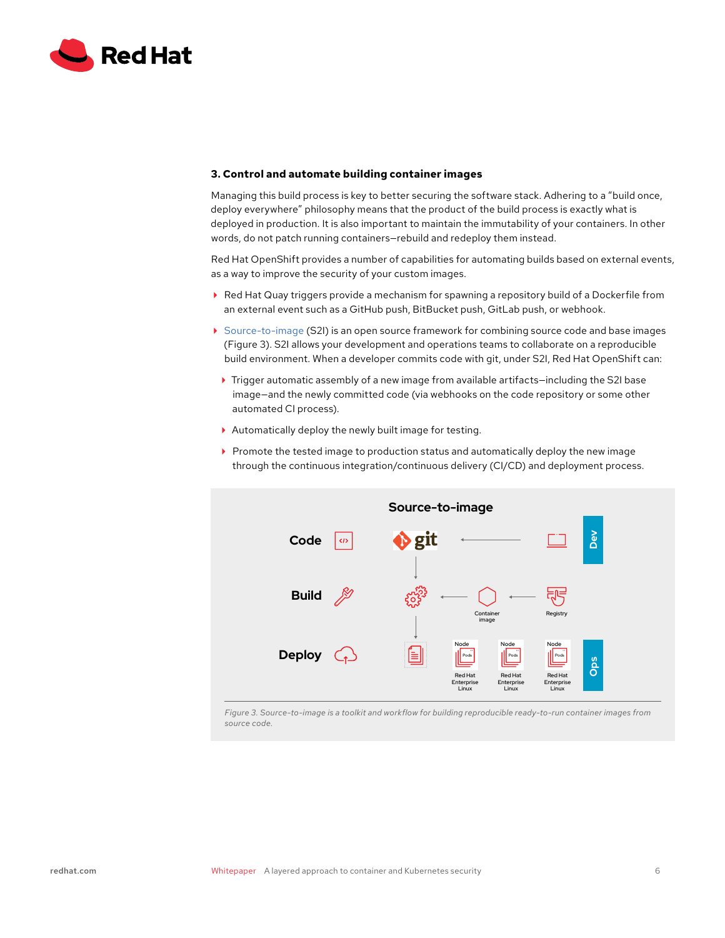<span id="page-5-0"></span>

## **3. Control and automate building container images**

Managing this build process is key to better securing the software stack. Adhering to a "build once, deploy everywhere" philosophy means that the product of the build process is exactly what is deployed in production. It is also important to maintain the immutability of your containers. In other words, do not patch running containers—rebuild and redeploy them instead.

Red Hat OpenShift provides a number of capabilities for automating builds based on external events, as a way to improve the security of your custom images.

- Red Hat Quay triggers provide a mechanism for spawning a repository build of a Dockerfile from an external event such as a GitHub push, BitBucket push, GitLab push, or webhook.
- [Source-to-image](https://github.com/openshift/source-to-image) (S2I) is an open source framework for combining source code and base images (Figure 3). S2I allows your development and operations teams to collaborate on a reproducible build environment. When a developer commits code with git, under S2I, Red Hat OpenShift can:
	- Trigger automatic assembly of a new image from available artifacts—including the S2I base image—and the newly committed code (via webhooks on the code repository or some other automated CI process).
	- Automatically deploy the newly built image for testing.
	- $\triangleright$  Promote the tested image to production status and automatically deploy the new image through the continuous integration/continuous delivery (CI/CD) and deployment process.



*Figure 3. Source-to-image is a toolkit and workflow for building reproducible ready-to-run container images from source code.*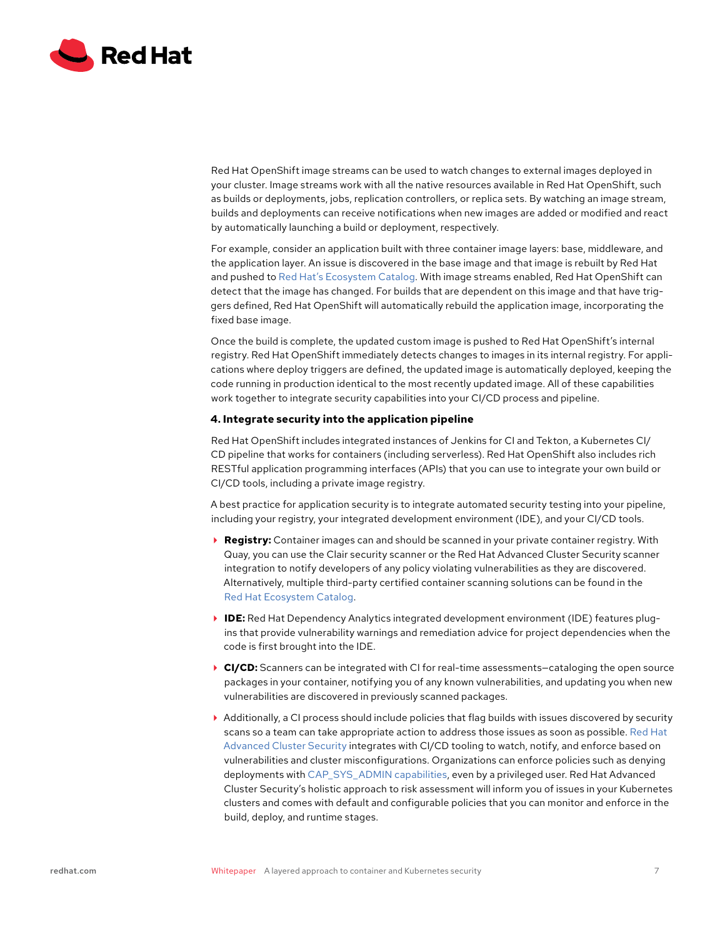<span id="page-6-0"></span>

Red Hat OpenShift image streams can be used to watch changes to external images deployed in your cluster. Image streams work with all the native resources available in Red Hat OpenShift, such as builds or deployments, jobs, replication controllers, or replica sets. By watching an image stream, builds and deployments can receive notifications when new images are added or modified and react by automatically launching a build or deployment, respectively.

For example, consider an application built with three container image layers: base, middleware, and the application layer. An issue is discovered in the base image and that image is rebuilt by Red Hat and pushed to [Red Hat's Ecosystem Catalog.](https://catalog.redhat.com/software/containers/explore) With image streams enabled, Red Hat OpenShift can detect that the image has changed. For builds that are dependent on this image and that have triggers defined, Red Hat OpenShift will automatically rebuild the application image, incorporating the fixed base image.

Once the build is complete, the updated custom image is pushed to Red Hat OpenShift's internal registry. Red Hat OpenShift immediately detects changes to images in its internal registry. For applications where deploy triggers are defined, the updated image is automatically deployed, keeping the code running in production identical to the most recently updated image. All of these capabilities work together to integrate security capabilities into your CI/CD process and pipeline.

### **4. Integrate security into the application pipeline**

Red Hat OpenShift includes integrated instances of Jenkins for CI and Tekton, a Kubernetes CI/ CD pipeline that works for containers (including serverless). Red Hat OpenShift also includes rich RESTful application programming interfaces (APIs) that you can use to integrate your own build or CI/CD tools, including a private image registry.

A best practice for application security is to integrate automated security testing into your pipeline, including your registry, your integrated development environment (IDE), and your CI/CD tools.

- **Registry:** Container images can and should be scanned in your private container registry. With Quay, you can use the Clair security scanner or the Red Hat Advanced Cluster Security scanner integration to notify developers of any policy violating vulnerabilities as they are discovered. Alternatively, multiple third-party certified container scanning solutions can be found in the [Red Hat Ecosystem Catalog.](https://catalog.redhat.com)
- **IDE:** Red Hat Dependency Analytics integrated development environment (IDE) features plugins that provide vulnerability warnings and remediation advice for project dependencies when the code is first brought into the IDE.
- **► CI/CD:** Scanners can be integrated with CI for real-time assessments–cataloging the open source packages in your container, notifying you of any known vulnerabilities, and updating you when new vulnerabilities are discovered in previously scanned packages.
- Additionally, a CI process should include policies that flag builds with issues discovered by security scans so a team can take appropriate action to address those issues as soon as possible. [Red Hat](https://cloud.redhat.com/products/kubernetes-security)  [Advanced Cluster Security](https://cloud.redhat.com/products/kubernetes-security) integrates with CI/CD tooling to watch, notify, and enforce based on vulnerabilities and cluster misconfigurations. Organizations can enforce policies such as denying deployments with [CAP\\_SYS\\_ADMIN capabilities,](https://man7.org/linux/man-pages/man7/capabilities.7.html) even by a privileged user. Red Hat Advanced Cluster Security's holistic approach to risk assessment will inform you of issues in your Kubernetes clusters and comes with default and configurable policies that you can monitor and enforce in the build, deploy, and runtime stages.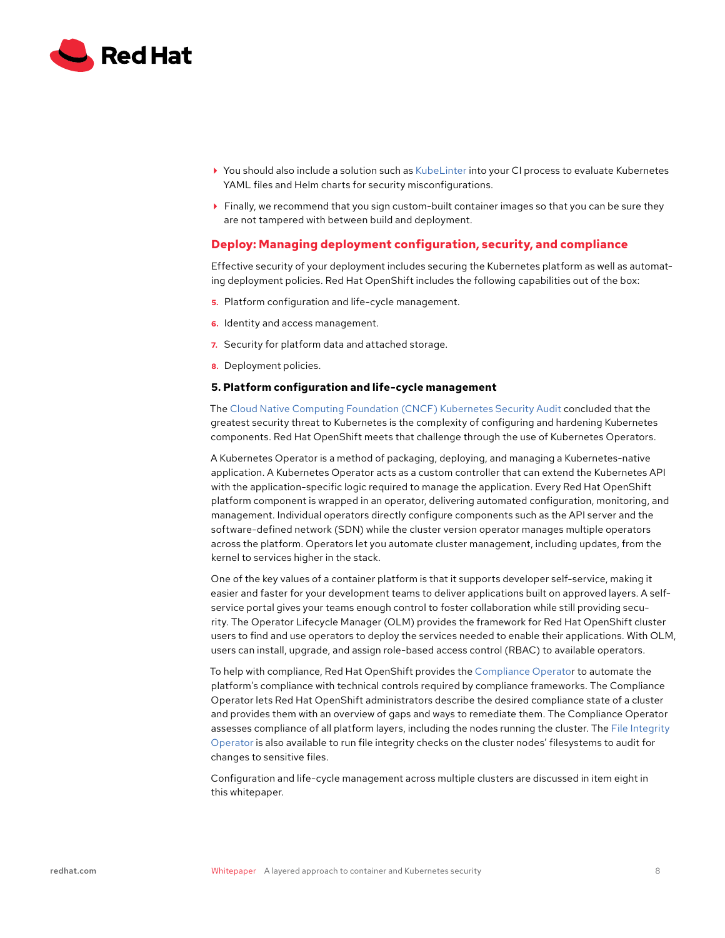<span id="page-7-0"></span>

- ▶ You should also include a solution such as [KubeLinter](https://github.com/stackrox/kube-linter) into your CI process to evaluate Kubernetes YAML files and Helm charts for security misconfigurations.
- $\blacktriangleright$  Finally, we recommend that you sign custom-built container images so that you can be sure they are not tampered with between build and deployment.

# **Deploy: Managing deployment configuration, security, and compliance**

Effective security of your deployment includes securing the Kubernetes platform as well as automating deployment policies. Red Hat OpenShift includes the following capabilities out of the box:

- **5.** Platform configuration and life-cycle management.
- **6.** Identity and access management.
- **7.** Security for platform data and attached storage.
- **8.** Deployment policies.

## **5. Platform configuration and life-cycle management**

The [Cloud Native Computing Foundation \(CNCF\) Kubernetes Security Audit](https://www.cncf.io/blog/2019/08/06/open-sourcing-the-kubernetes-security-audit/) concluded that the greatest security threat to Kubernetes is the complexity of configuring and hardening Kubernetes components. Red Hat OpenShift meets that challenge through the use of Kubernetes Operators.

A Kubernetes Operator is a method of packaging, deploying, and managing a Kubernetes-native application. A Kubernetes Operator acts as a custom controller that can extend the Kubernetes API with the application-specific logic required to manage the application. Every Red Hat OpenShift platform component is wrapped in an operator, delivering automated configuration, monitoring, and management. Individual operators directly configure components such as the API server and the software-defined network (SDN) while the cluster version operator manages multiple operators across the platform. Operators let you automate cluster management, including updates, from the kernel to services higher in the stack.

One of the key values of a container platform is that it supports developer self-service, making it easier and faster for your development teams to deliver applications built on approved layers. A selfservice portal gives your teams enough control to foster collaboration while still providing security. The Operator Lifecycle Manager (OLM) provides the framework for Red Hat OpenShift cluster users to find and use operators to deploy the services needed to enable their applications. With OLM, users can install, upgrade, and assign role-based access control (RBAC) to available operators.

To help with compliance, Red Hat OpenShift provides the [Compliance Operator](https://docs.openshift.com/container-platform/4.6/security/compliance_operator/compliance-operator-understanding.html) to automate the platform's compliance with technical controls required by compliance frameworks. The Compliance Operator lets Red Hat OpenShift administrators describe the desired compliance state of a cluster and provides them with an overview of gaps and ways to remediate them. The Compliance Operator assesses compliance of all platform layers, including the nodes running the cluster. The [File Integrity](https://docs.openshift.com/container-platform/4.6/security/file_integrity_operator/file-integrity-operator-understanding.html)  [Operator](https://docs.openshift.com/container-platform/4.6/security/file_integrity_operator/file-integrity-operator-understanding.html) is also available to run file integrity checks on the cluster nodes' filesystems to audit for changes to sensitive files.

Configuration and life-cycle management across multiple clusters are discussed in item eight in this whitepaper.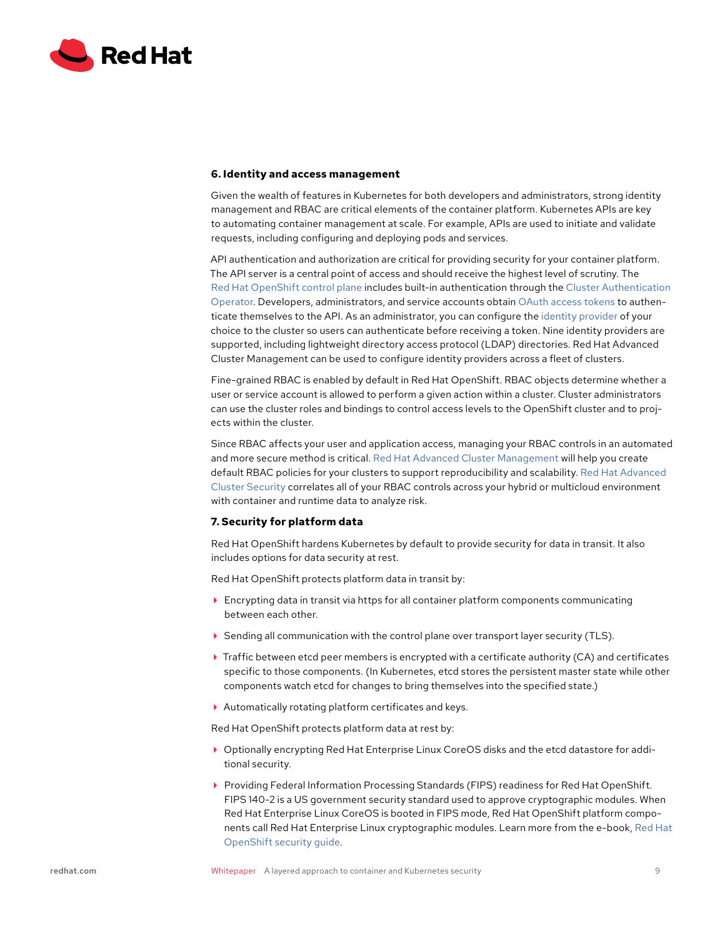<span id="page-8-0"></span>

### **6. Identity and access management**

Given the wealth of features in Kubernetes for both developers and administrators, strong identity management and RBAC are critical elements of the container platform. Kubernetes APIs are key to automating container management at scale. For example, APIs are used to initiate and validate requests, including configuring and deploying pods and services.

API authentication and authorization are critical for providing security for your container platform. The API server is a central point of access and should receive the highest level of scrutiny. The [Red Hat OpenShift control plane](https://docs.openshift.com/container-platform/4.6/architecture/control-plane.html) includes built-in authentication through the [Cluster Authentication](https://docs.openshift.com/container-platform/4.6/operators/operator-reference.html#cluster-authentication-operator_red-hat-operators)  [Operator.](https://docs.openshift.com/container-platform/4.6/operators/operator-reference.html#cluster-authentication-operator_red-hat-operators) Developers, administrators, and service accounts obtain [OAuth access tokens](https://docs.openshift.com/container-platform/4.6/authentication/configuring-internal-oauth.html) to authenticate themselves to the API. As an administrator, you can configure the [identity provider](https://docs.openshift.com/container-platform/4.6/authentication/understanding-identity-provider.html) of your choice to the cluster so users can authenticate before receiving a token. Nine identity providers are supported, including lightweight directory access protocol (LDAP) directories. Red Hat Advanced Cluster Management can be used to configure identity providers across a fleet of clusters.

Fine-grained RBAC is enabled by default in Red Hat OpenShift. RBAC objects determine whether a user or service account is allowed to perform a given action within a cluster. Cluster administrators can use the cluster roles and bindings to control access levels to the OpenShift cluster and to projects within the cluster.

Since RBAC affects your user and application access, managing your RBAC controls in an automated and more secure method is critical. [Red Hat Advanced Cluster Management](https://www.redhat.com/en/technologies/management/advanced-cluster-management) will help you create default RBAC policies for your clusters to support reproducibility and scalability. [Red Hat Advanced](https://www.openshift.com/products/kubernetes-security)  [Cluster Security](https://www.openshift.com/products/kubernetes-security) correlates all of your RBAC controls across your hybrid or multicloud environment with container and runtime data to analyze risk.

## **7. Security for platform data**

Red Hat OpenShift hardens Kubernetes by default to provide security for data in transit. It also includes options for data security at rest.

Red Hat OpenShift protects platform data in transit by:

- Encrypting data in transit via https for all container platform components communicating between each other.
- ▶ Sending all communication with the control plane over transport layer security (TLS).
- Traffic between etcd peer members is encrypted with a certificate authority (CA) and certificates specific to those components. (In Kubernetes, etcd stores the persistent master state while other components watch etcd for changes to bring themselves into the specified state.)
- Automatically rotating platform certificates and keys.

Red Hat OpenShift protects platform data at rest by:

- Optionally encrypting Red Hat Enterprise Linux CoreOS disks and the etcd datastore for additional security.
- Providing Federal Information Processing Standards (FIPS) readiness for Red Hat OpenShift. FIPS 140-2 is a US government security standard used to approve cryptographic modules. When Red Hat Enterprise Linux CoreOS is booted in FIPS mode, Red Hat OpenShift platform components call Red Hat Enterprise Linux cryptographic modules. Learn more from the e-book, [Red Hat](https://www.redhat.com/en/resources/openshift-security-guide-ebook?extIdCarryOver=true&intcmp=7013a000002wL73AAE&sc_cid=7013a000002DedxAAC)  [OpenShift security guide](https://www.redhat.com/en/resources/openshift-security-guide-ebook?extIdCarryOver=true&intcmp=7013a000002wL73AAE&sc_cid=7013a000002DedxAAC).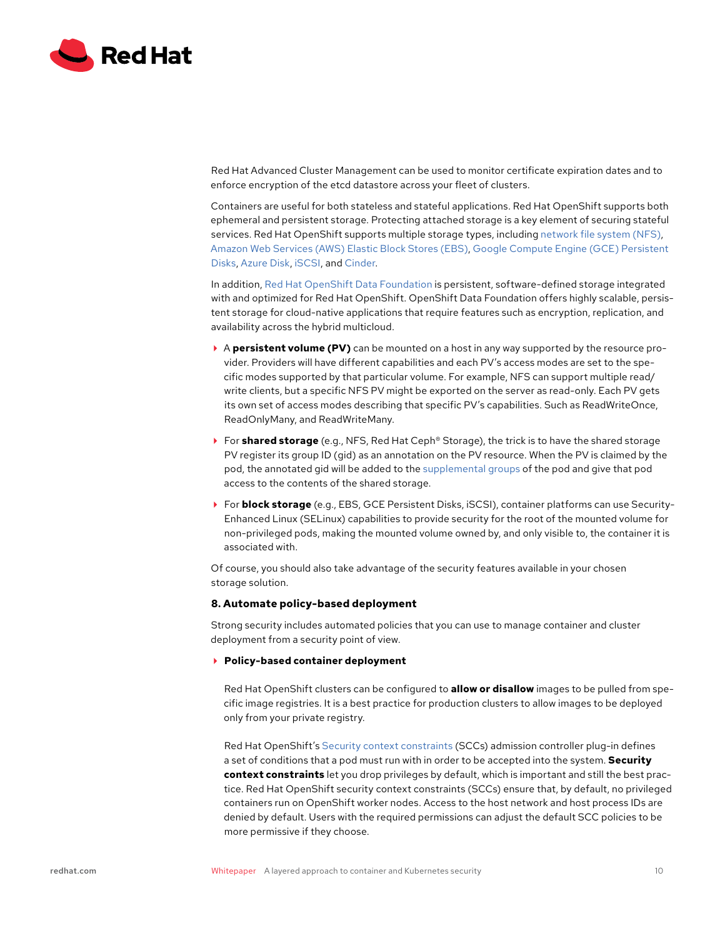<span id="page-9-0"></span>

Red Hat Advanced Cluster Management can be used to monitor certificate expiration dates and to enforce encryption of the etcd datastore across your fleet of clusters.

Containers are useful for both stateless and stateful applications. Red Hat OpenShift supports both ephemeral and persistent storage. Protecting attached storage is a key element of securing stateful services. Red Hat OpenShift supports multiple storage types, including [network file system \(NFS\)](https://docs.openshift.com/container-platform/4.6/storage/persistent_storage/persistent-storage-nfs.html), [Amazon Web Services \(AWS\) Elastic Block Stores \(EBS\)](https://docs.openshift.com/container-platform/4.6/storage/persistent_storage/persistent-storage-aws.html), [Google Compute Engine \(GCE\) Persistent](https://docs.openshift.com/container-platform/4.6/storage/persistent_storage/persistent-storage-gce.html)  [Disks](https://docs.openshift.com/container-platform/4.6/storage/persistent_storage/persistent-storage-gce.html), [Azure Disk,](https://docs.openshift.com/container-platform/4.6/storage/persistent_storage/persistent-storage-azure.html) [iSCSI,](https://docs.openshift.com/container-platform/4.6/storage/persistent_storage/persistent-storage-iscsi.html) and [Cinder](https://docs.openshift.com/container-platform/4.6/storage/persistent_storage/persistent-storage-cinder.html).

In addition, [Red Hat OpenShift Data Foundation](https://www.redhat.com/en/technologies/cloud-computing/openshift-data-foundation) is persistent, software-defined storage integrated with and optimized for Red Hat OpenShift. OpenShift Data Foundation offers highly scalable, persistent storage for cloud-native applications that require features such as encryption, replication, and availability across the hybrid multicloud.

- A **persistent volume (PV)** can be mounted on a host in any way supported by the resource provider. Providers will have different capabilities and each PV's access modes are set to the specific modes supported by that particular volume. For example, NFS can support multiple read/ write clients, but a specific NFS PV might be exported on the server as read-only. Each PV gets its own set of access modes describing that specific PV's capabilities. Such as ReadWriteOnce, ReadOnlyMany, and ReadWriteMany.
- For **shared storage** (e.g., NFS, Red Hat Ceph® Storage), the trick is to have the shared storage PV register its group ID (gid) as an annotation on the PV resource. When the PV is claimed by the pod, the annotated gid will be added to the [supplemental groups](https://docs.openshift.com/container-platform/4.6/security/container_security/security-storage.html) of the pod and give that pod access to the contents of the shared storage.
- For **block storage** (e.g., EBS, GCE Persistent Disks, iSCSI), container platforms can use Security-Enhanced Linux (SELinux) capabilities to provide security for the root of the mounted volume for non-privileged pods, making the mounted volume owned by, and only visible to, the container it is associated with.

Of course, you should also take advantage of the security features available in your chosen storage solution.

## **8. Automate policy-based deployment**

Strong security includes automated policies that you can use to manage container and cluster deployment from a security point of view.

**Policy-based container deployment**

Red Hat OpenShift clusters can be configured to **allow or disallow** images to be pulled from specific image registries. It is a best practice for production clusters to allow images to be deployed only from your private registry.

Red Hat OpenShift's [Security context constraints](https://docs.openshift.com/container-platform/4.6/authentication/managing-security-context-constraints.html) (SCCs) admission controller plug-in defines a set of conditions that a pod must run with in order to be accepted into the system. **Security context constraints** let you drop privileges by default, which is important and still the best practice. Red Hat OpenShift security context constraints (SCCs) ensure that, by default, no privileged containers run on OpenShift worker nodes. Access to the host network and host process IDs are denied by default. Users with the required permissions can adjust the default SCC policies to be more permissive if they choose.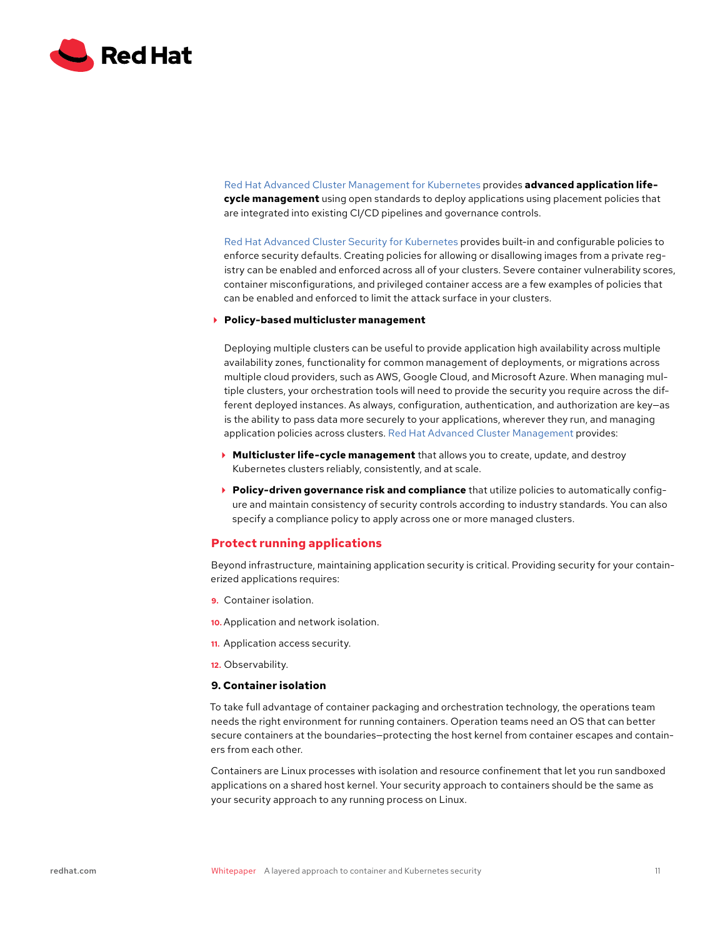<span id="page-10-0"></span>

[Red Hat Advanced Cluster Management for Kubernetes](https://www.redhat.com/en/technologies/management/advanced-cluster-management) provides **advanced application lifecycle management** using open standards to deploy applications using placement policies that are integrated into existing CI/CD pipelines and governance controls.

[Red Hat Advanced Cluster Security for Kubernetes](https://www.redhat.com/en/resources/advanced-cluster-security-for-kubernetes-datasheet) provides built-in and configurable policies to enforce security defaults. Creating policies for allowing or disallowing images from a private registry can be enabled and enforced across all of your clusters. Severe container vulnerability scores, container misconfigurations, and privileged container access are a few examples of policies that can be enabled and enforced to limit the attack surface in your clusters.

#### **Policy-based multicluster management**

Deploying multiple clusters can be useful to provide application high availability across multiple availability zones, functionality for common management of deployments, or migrations across multiple cloud providers, such as AWS, Google Cloud, and Microsoft Azure. When managing multiple clusters, your orchestration tools will need to provide the security you require across the different deployed instances. As always, configuration, authentication, and authorization are key—as is the ability to pass data more securely to your applications, wherever they run, and managing application policies across clusters. [Red Hat Advanced Cluster Management](https://www.redhat.com/en/technologies/management/advanced-cluster-management) provides:

- **Multicluster life-cycle management** that allows you to create, update, and destroy Kubernetes clusters reliably, consistently, and at scale.
- **Policy-driven governance risk and compliance** that utilize policies to automatically configure and maintain consistency of security controls according to industry standards. You can also specify a compliance policy to apply across one or more managed clusters.

## **Protect running applications**

Beyond infrastructure, maintaining application security is critical. Providing security for your containerized applications requires:

- **9.** Container isolation.
- **10.** Application and network isolation.
- **11.** Application access security.
- **12.** Observability.

## **9. Container isolation**

To take full advantage of container packaging and orchestration technology, the operations team needs the right environment for running containers. Operation teams need an OS that can better secure containers at the boundaries—protecting the host kernel from container escapes and containers from each other.

Containers are Linux processes with isolation and resource confinement that let you run sandboxed applications on a shared host kernel. Your security approach to containers should be the same as your security approach to any running process on Linux.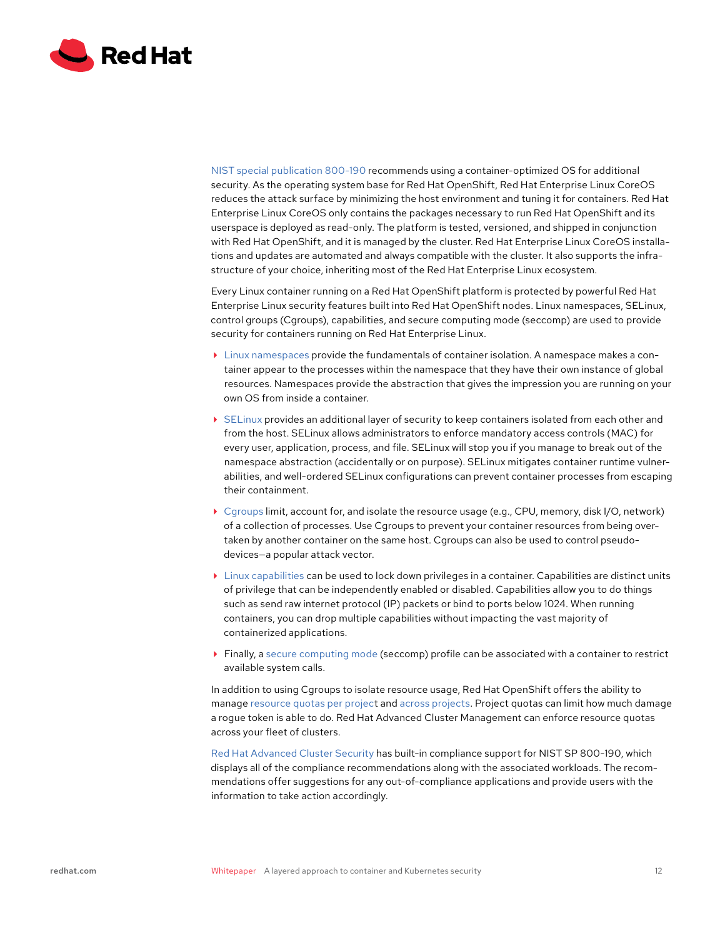

[NIST special publication 800-190](https://nvlpubs.nist.gov/nistpubs/SpecialPublications/NIST.SP.800-190.pdf) recommends using a container-optimized OS for additional security. As the operating system base for Red Hat OpenShift, Red Hat Enterprise Linux CoreOS reduces the attack surface by minimizing the host environment and tuning it for containers. Red Hat Enterprise Linux CoreOS only contains the packages necessary to run Red Hat OpenShift and its userspace is deployed as read-only. The platform is tested, versioned, and shipped in conjunction with Red Hat OpenShift, and it is managed by the cluster. Red Hat Enterprise Linux CoreOS installations and updates are automated and always compatible with the cluster. It also supports the infrastructure of your choice, inheriting most of the Red Hat Enterprise Linux ecosystem.

Every Linux container running on a Red Hat OpenShift platform is protected by powerful Red Hat Enterprise Linux security features built into Red Hat OpenShift nodes. Linux namespaces, SELinux, control groups (Cgroups), capabilities, and secure computing mode (seccomp) are used to provide security for containers running on Red Hat Enterprise Linux.

- [Linux namespaces](https://access.redhat.com/documentation/en-us/red_hat_enterprise_linux_atomic_host/7/html/overview_of_containers_in_red_hat_systems/introduction_to_linux_containers) provide the fundamentals of container isolation. A namespace makes a container appear to the processes within the namespace that they have their own instance of global resources. Namespaces provide the abstraction that gives the impression you are running on your own OS from inside a container.
- [SELinux](https://www.redhat.com/en/topics/linux/what-is-selinux) provides an additional layer of security to keep containers isolated from each other and from the host. SELinux allows administrators to enforce mandatory access controls (MAC) for every user, application, process, and file. SELinux will stop you if you manage to break out of the namespace abstraction (accidentally or on purpose). SELinux mitigates container runtime vulnerabilities, and well-ordered SELinux configurations can prevent container processes from escaping their containment.
- [Cgroups](https://access.redhat.com/documentation/en-us/red_hat_enterprise_linux/8/html/managing_monitoring_and_updating_the_kernel/setting-limits-for-applications_managing-monitoring-and-updating-the-kernel) limit, account for, and isolate the resource usage (e.g., CPU, memory, disk I/O, network) of a collection of processes. Use Cgroups to prevent your container resources from being overtaken by another container on the same host. Cgroups can also be used to control pseudodevices—a popular attack vector.
- $\blacktriangleright$  [Linux capabilities](https://access.redhat.com/documentation/en-us/red_hat_enterprise_linux_atomic_host/7/html/container_security_guide/linux_capabilities_and_seccomp) can be used to lock down privileges in a container. Capabilities are distinct units of privilege that can be independently enabled or disabled. Capabilities allow you to do things such as send raw internet protocol (IP) packets or bind to ports below 1024. When running containers, you can drop multiple capabilities without impacting the vast majority of containerized applications.
- Finally, a [secure computing mode](https://www.redhat.com/sysadmin/container-security-seccomp) (seccomp) profile can be associated with a container to restrict available system calls.

In addition to using Cgroups to isolate resource usage, Red Hat OpenShift offers the ability to manage [resource quotas per projec](https://docs.openshift.com/container-platform/4.8/applications/quotas/quotas-setting-per-project.html)t and [across projects](https://docs.openshift.com/container-platform/4.8/applications/quotas/quotas-setting-across-multiple-projects.html). Project quotas can limit how much damage a rogue token is able to do. Red Hat Advanced Cluster Management can enforce resource quotas across your fleet of clusters.

[Red Hat Advanced Cluster Security](https://cloud.redhat.com/products/kubernetes-security) has built-in compliance support for NIST SP 800-190, which displays all of the compliance recommendations along with the associated workloads. The recommendations offer suggestions for any out-of-compliance applications and provide users with the information to take action accordingly.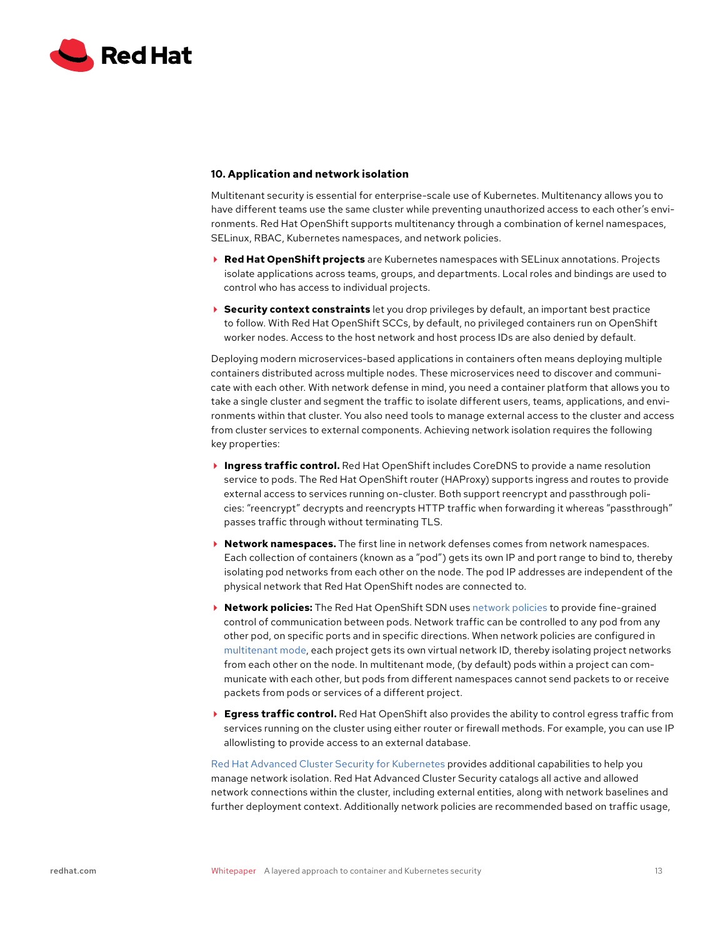<span id="page-12-0"></span>

## **10. Application and network isolation**

Multitenant security is essential for enterprise-scale use of Kubernetes. Multitenancy allows you to have different teams use the same cluster while preventing unauthorized access to each other's environments. Red Hat OpenShift supports multitenancy through a combination of kernel namespaces, SELinux, RBAC, Kubernetes namespaces, and network policies.

- **Red Hat OpenShift projects** are Kubernetes namespaces with SELinux annotations. Projects isolate applications across teams, groups, and departments. Local roles and bindings are used to control who has access to individual projects.
- **Security context constraints** let you drop privileges by default, an important best practice to follow. With Red Hat OpenShift SCCs, by default, no privileged containers run on OpenShift worker nodes. Access to the host network and host process IDs are also denied by default.

Deploying modern microservices-based applications in containers often means deploying multiple containers distributed across multiple nodes. These microservices need to discover and communicate with each other. With network defense in mind, you need a container platform that allows you to take a single cluster and segment the traffic to isolate different users, teams, applications, and environments within that cluster. You also need tools to manage external access to the cluster and access from cluster services to external components. Achieving network isolation requires the following key properties:

- **Ingress traffic control.** Red Hat OpenShift includes CoreDNS to provide a name resolution service to pods. The Red Hat OpenShift router (HAProxy) supports ingress and routes to provide external access to services running on-cluster. Both support reencrypt and passthrough policies: "reencrypt" decrypts and reencrypts HTTP traffic when forwarding it whereas "passthrough" passes traffic through without terminating TLS.
- **Network namespaces.** The first line in network defenses comes from network namespaces. Each collection of containers (known as a "pod") gets its own IP and port range to bind to, thereby isolating pod networks from each other on the node. The pod IP addresses are independent of the physical network that Red Hat OpenShift nodes are connected to.
- **Network policies:** The Red Hat OpenShift SDN uses [network policies](https://docs.openshift.com/container-platform/4.6/networking/network_policy/about-network-policy.html) to provide fine-grained control of communication between pods. Network traffic can be controlled to any pod from any other pod, on specific ports and in specific directions. When network policies are configured in [multitenant mode,](https://docs.openshift.com/container-platform/4.6/networking/network_policy/multitenant-network-policy.html) each project gets its own virtual network ID, thereby isolating project networks from each other on the node. In multitenant mode, (by default) pods within a project can communicate with each other, but pods from different namespaces cannot send packets to or receive packets from pods or services of a different project.
- ▶ **Egress traffic control.** Red Hat OpenShift also provides the ability to control egress traffic from services running on the cluster using either router or firewall methods. For example, you can use IP allowlisting to provide access to an external database.

[Red Hat Advanced Cluster Security for Kubernetes](https://www.openshift.com/products/kubernetes-security) provides additional capabilities to help you manage network isolation. Red Hat Advanced Cluster Security catalogs all active and allowed network connections within the cluster, including external entities, along with network baselines and further deployment context. Additionally network policies are recommended based on traffic usage,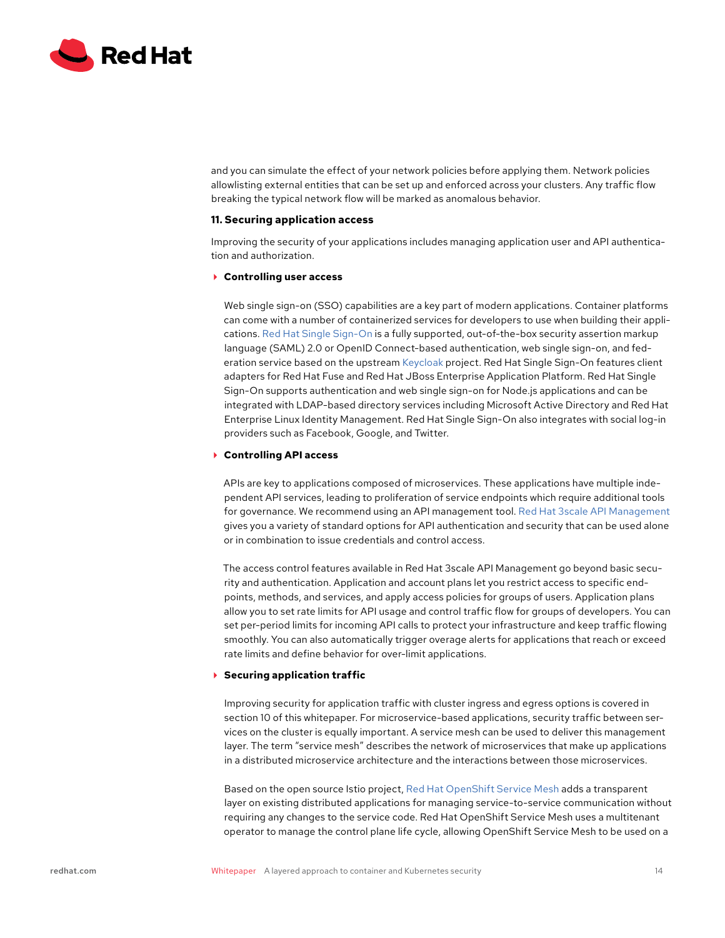<span id="page-13-0"></span>

and you can simulate the effect of your network policies before applying them. Network policies allowlisting external entities that can be set up and enforced across your clusters. Any traffic flow breaking the typical network flow will be marked as anomalous behavior.

## **11. Securing application access**

Improving the security of your applications includes managing application user and API authentication and authorization.

#### **Controlling user access**

Web single sign-on (SSO) capabilities are a key part of modern applications. Container platforms can come with a number of containerized services for developers to use when building their applications. [Red Hat Single Sign-On](https://access.redhat.com/products/red-hat-single-sign-on) is a fully supported, out-of-the-box security assertion markup language (SAML) 2.0 or OpenID Connect-based authentication, web single sign-on, and federation service based on the upstream [Keycloak](http://www.keycloak.org/) project. Red Hat Single Sign-On features client adapters for Red Hat Fuse and Red Hat JBoss Enterprise Application Platform. Red Hat Single Sign-On supports authentication and web single sign-on for Node.js applications and can be integrated with LDAP-based directory services including Microsoft Active Directory and Red Hat Enterprise Linux Identity Management. Red Hat Single Sign-On also integrates with social log-in providers such as Facebook, Google, and Twitter.

## **Controlling API access**

APIs are key to applications composed of microservices. These applications have multiple independent API services, leading to proliferation of service endpoints which require additional tools for governance. We recommend using an API management tool. [Red Hat 3scale API Management](https://www.redhat.com/en/technologies/jboss-middleware/3scale) gives you a variety of standard options for API authentication and security that can be used alone or in combination to issue credentials and control access.

The access control features available in Red Hat 3scale API Management go beyond basic security and authentication. Application and account plans let you restrict access to specific endpoints, methods, and services, and apply access policies for groups of users. Application plans allow you to set rate limits for API usage and control traffic flow for groups of developers. You can set per-period limits for incoming API calls to protect your infrastructure and keep traffic flowing smoothly. You can also automatically trigger overage alerts for applications that reach or exceed rate limits and define behavior for over-limit applications.

#### **Securing application traffic**

Improving security for application traffic with cluster ingress and egress options is covered in section 10 of this whitepaper. For microservice-based applications, security traffic between services on the cluster is equally important. A service mesh can be used to deliver this management layer. The term "service mesh" describes the network of microservices that make up applications in a distributed microservice architecture and the interactions between those microservices.

Based on the open source Istio project, [Red Hat OpenShift Service Mesh](https://www.openshift.com/learn/topics/service-mesh) adds a transparent layer on existing distributed applications for managing service-to-service communication without requiring any changes to the service code. Red Hat OpenShift Service Mesh uses a multitenant operator to manage the control plane life cycle, allowing OpenShift Service Mesh to be used on a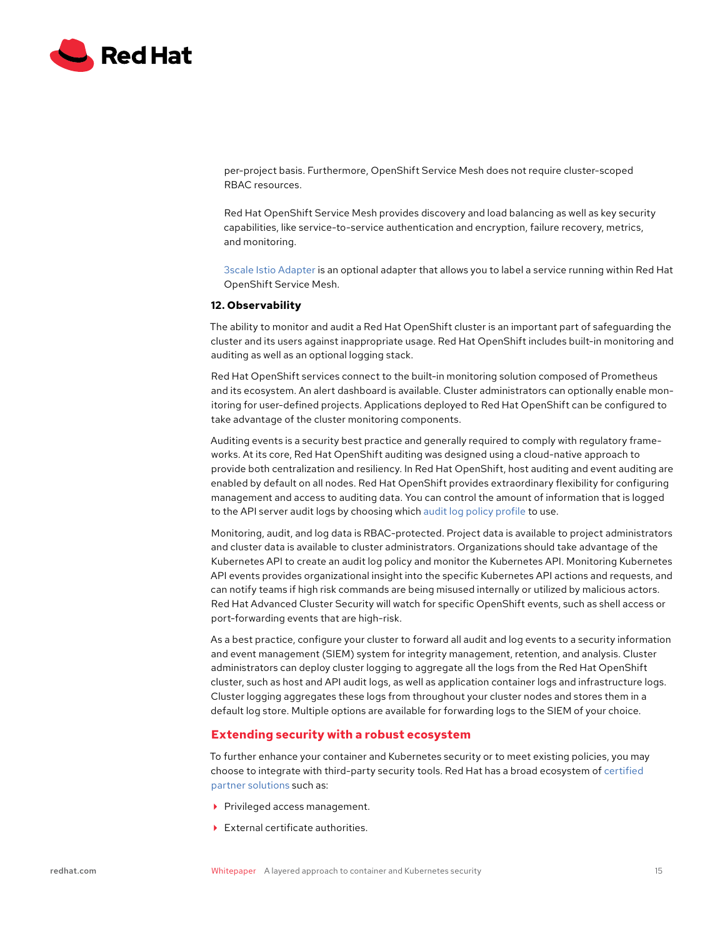<span id="page-14-0"></span>

per-project basis. Furthermore, OpenShift Service Mesh does not require cluster-scoped RBAC resources.

Red Hat OpenShift Service Mesh provides discovery and load balancing as well as key security capabilities, like service-to-service authentication and encryption, failure recovery, metrics, and monitoring.

[3scale Istio Adapter](https://docs.openshift.com/container-platform/4.6/service_mesh/v1x/threescale-adapter.html) is an optional adapter that allows you to label a service running within Red Hat OpenShift Service Mesh.

#### **12. Observability**

The ability to monitor and audit a Red Hat OpenShift cluster is an important part of safeguarding the cluster and its users against inappropriate usage. Red Hat OpenShift includes built-in monitoring and auditing as well as an optional logging stack.

Red Hat OpenShift services connect to the built-in monitoring solution composed of Prometheus and its ecosystem. An alert dashboard is available. Cluster administrators can optionally enable monitoring for user-defined projects. Applications deployed to Red Hat OpenShift can be configured to take advantage of the cluster monitoring components.

Auditing events is a security best practice and generally required to comply with regulatory frameworks. At its core, Red Hat OpenShift auditing was designed using a cloud-native approach to provide both centralization and resiliency. In Red Hat OpenShift, host auditing and event auditing are enabled by default on all nodes. Red Hat OpenShift provides extraordinary flexibility for configuring management and access to auditing data. You can control the amount of information that is logged to the API server audit logs by choosing which [audit log policy profile](https://docs.openshift.com/container-platform/4.6/security/audit-log-policy-config.html) to use.

Monitoring, audit, and log data is RBAC-protected. Project data is available to project administrators and cluster data is available to cluster administrators. Organizations should take advantage of the Kubernetes API to create an audit log policy and monitor the Kubernetes API. Monitoring Kubernetes API events provides organizational insight into the specific Kubernetes API actions and requests, and can notify teams if high risk commands are being misused internally or utilized by malicious actors. Red Hat Advanced Cluster Security will watch for specific OpenShift events, such as shell access or port-forwarding events that are high-risk.

As a best practice, configure your cluster to forward all audit and log events to a security information and event management (SIEM) system for integrity management, retention, and analysis. Cluster administrators can deploy cluster logging to aggregate all the logs from the Red Hat OpenShift cluster, such as host and API audit logs, as well as application container logs and infrastructure logs. Cluster logging aggregates these logs from throughout your cluster nodes and stores them in a default log store. Multiple options are available for forwarding logs to the SIEM of your choice.

# **Extending security with a robust ecosystem**

To further enhance your container and Kubernetes security or to meet existing policies, you may choose to integrate with third-party security tools. Red Hat has a broad ecosystem of [certified](https://connect.redhat.com/partner-with-us/build-software)  [partner solutions](https://connect.redhat.com/partner-with-us/build-software) such as:

- Privileged access management.
- External certificate authorities.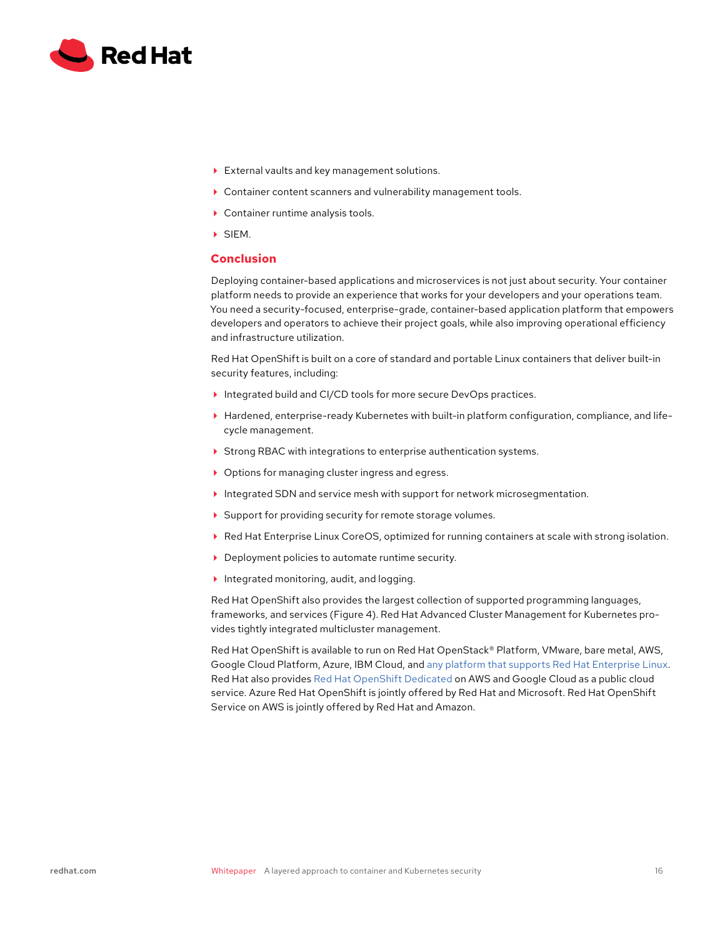<span id="page-15-0"></span>

- External vaults and key management solutions.
- Container content scanners and vulnerability management tools.
- ▶ Container runtime analysis tools.
- SIEM.

# **Conclusion**

Deploying container-based applications and microservices is not just about security. Your container platform needs to provide an experience that works for your developers and your operations team. You need a security-focused, enterprise-grade, container-based application platform that empowers developers and operators to achieve their project goals, while also improving operational efficiency and infrastructure utilization.

Red Hat OpenShift is built on a core of standard and portable Linux containers that deliver built-in security features, including:

- Integrated build and CI/CD tools for more secure DevOps practices.
- Hardened, enterprise-ready Kubernetes with built-in platform configuration, compliance, and lifecycle management.
- ▶ Strong RBAC with integrations to enterprise authentication systems.
- ▶ Options for managing cluster ingress and egress.
- Integrated SDN and service mesh with support for network microsegmentation.
- Support for providing security for remote storage volumes.
- Red Hat Enterprise Linux CoreOS, optimized for running containers at scale with strong isolation.
- ▶ Deployment policies to automate runtime security.
- Integrated monitoring, audit, and logging.

Red Hat OpenShift also provides the largest collection of supported programming languages, frameworks, and services (Figure 4). Red Hat Advanced Cluster Management for Kubernetes provides tightly integrated multicluster management.

Red Hat OpenShift is available to run on Red Hat OpenStack® Platform, VMware, bare metal, AWS, Google Cloud Platform, Azure, IBM Cloud, and [any platform that supports Red Hat Enterprise Linux](https://docs.openshift.com/container-platform/4.6/welcome/index.html). Red Hat also provides [Red Hat OpenShift Dedicated](https://cloud.redhat.com/products/dedicated/) on AWS and Google Cloud as a public cloud service. Azure Red Hat OpenShift is jointly offered by Red Hat and Microsoft. Red Hat OpenShift Service on AWS is jointly offered by Red Hat and Amazon.